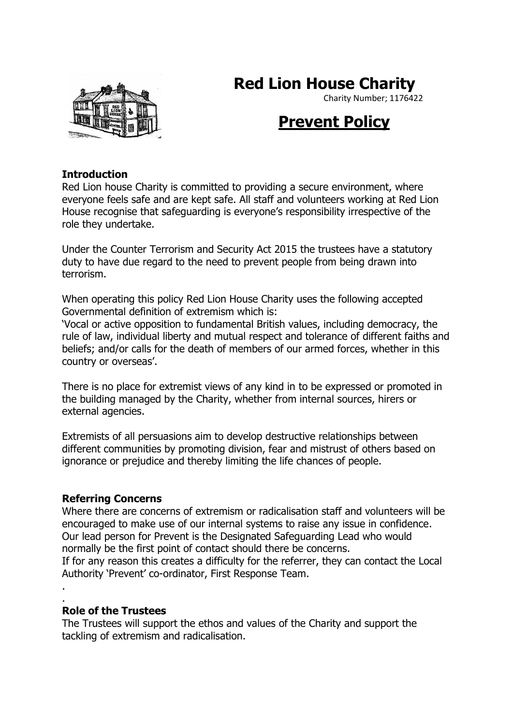# **Red Lion House Charity**



#### Charity Number; 1176422

## **Prevent Policy**

#### **Introduction**

Red Lion house Charity is committed to providing a secure environment, where everyone feels safe and are kept safe. All staff and volunteers working at Red Lion House recognise that safeguarding is everyone's responsibility irrespective of the role they undertake.

Under the Counter Terrorism and Security Act 2015 the trustees have a statutory duty to have due regard to the need to prevent people from being drawn into terrorism.

When operating this policy Red Lion House Charity uses the following accepted Governmental definition of extremism which is:

'Vocal or active opposition to fundamental British values, including democracy, the rule of law, individual liberty and mutual respect and tolerance of different faiths and beliefs; and/or calls for the death of members of our armed forces, whether in this country or overseas'.

There is no place for extremist views of any kind in to be expressed or promoted in the building managed by the Charity, whether from internal sources, hirers or external agencies.

Extremists of all persuasions aim to develop destructive relationships between different communities by promoting division, fear and mistrust of others based on ignorance or prejudice and thereby limiting the life chances of people.

#### **Referring Concerns**

Where there are concerns of extremism or radicalisation staff and volunteers will be encouraged to make use of our internal systems to raise any issue in confidence. Our lead person for Prevent is the Designated Safeguarding Lead who would normally be the first point of contact should there be concerns.

If for any reason this creates a difficulty for the referrer, they can contact the Local Authority 'Prevent' co-ordinator, First Response Team.

. .

#### **Role of the Trustees**

The Trustees will support the ethos and values of the Charity and support the tackling of extremism and radicalisation.